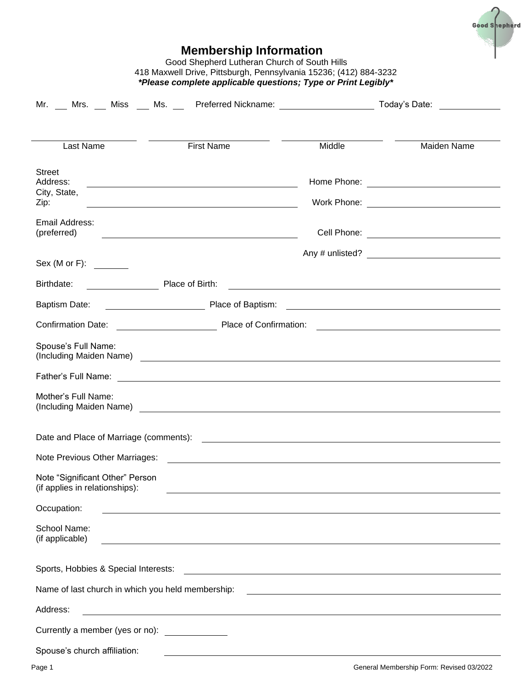

| 418 Maxwell Drive, Pittsburgh, Pennsylvania 15236; (412) 884-3232<br>*Please complete applicable questions; Type or Print Legibly* |                                                                                                                                                                                                                                     |                                                                                                                       |                                                       |  |  |  |
|------------------------------------------------------------------------------------------------------------------------------------|-------------------------------------------------------------------------------------------------------------------------------------------------------------------------------------------------------------------------------------|-----------------------------------------------------------------------------------------------------------------------|-------------------------------------------------------|--|--|--|
|                                                                                                                                    | Mr. ___ Mrs. ___ Miss ___ Ms. ___ Preferred Nickname: __________________________ Today's Date: __________                                                                                                                           |                                                                                                                       |                                                       |  |  |  |
|                                                                                                                                    |                                                                                                                                                                                                                                     |                                                                                                                       |                                                       |  |  |  |
| Last Name                                                                                                                          | <b>First Name</b>                                                                                                                                                                                                                   | Middle                                                                                                                | Maiden Name                                           |  |  |  |
| <b>Street</b><br>Address:<br>City, State,<br>Zip:                                                                                  | <u> 1989 - Johann Barn, fransk politik formuler (d. 1989)</u>                                                                                                                                                                       |                                                                                                                       |                                                       |  |  |  |
| Email Address:<br>(preferred)                                                                                                      | <u> 1989 - Johann Barn, fransk politik (d. 1989)</u>                                                                                                                                                                                |                                                                                                                       |                                                       |  |  |  |
| Sex(M or F):                                                                                                                       |                                                                                                                                                                                                                                     |                                                                                                                       |                                                       |  |  |  |
| Birthdate:                                                                                                                         | Place of Birth:                                                                                                                                                                                                                     | <u> 1989 - Jan Sterner Sterner van die Sterne van die Sterne van die Sterne van die Sterne van die Sterne van die</u> |                                                       |  |  |  |
| <b>Baptism Date:</b>                                                                                                               |                                                                                                                                                                                                                                     |                                                                                                                       |                                                       |  |  |  |
|                                                                                                                                    |                                                                                                                                                                                                                                     |                                                                                                                       |                                                       |  |  |  |
| Spouse's Full Name:                                                                                                                |                                                                                                                                                                                                                                     |                                                                                                                       |                                                       |  |  |  |
|                                                                                                                                    |                                                                                                                                                                                                                                     |                                                                                                                       |                                                       |  |  |  |
| Mother's Full Name:                                                                                                                | (Including Maiden Name) <b>Example 20</b> Name 20 Name 20 Name 20 Name 20 Name 20 Name 20 Name 20 Name 20 Name 20 Name 20 Name 20 Name 20 Name 20 Name 20 Name 20 Name 20 Name 20 Name 20 Name 20 Name 20 Name 20 Name 20 Name 20 N |                                                                                                                       |                                                       |  |  |  |
| Date and Place of Marriage (comments):                                                                                             |                                                                                                                                                                                                                                     | <u> 1980 - Johann John Stein, fransk politik (f. 1980)</u>                                                            |                                                       |  |  |  |
| Note Previous Other Marriages:                                                                                                     |                                                                                                                                                                                                                                     | <u> 1989 - Johann Stoff, deutscher Stoff, der Stoff, der Stoff, der Stoff, der Stoff, der Stoff, der Stoff, der S</u> |                                                       |  |  |  |
| Note "Significant Other" Person<br>(if applies in relationships):                                                                  |                                                                                                                                                                                                                                     |                                                                                                                       |                                                       |  |  |  |
| Occupation:                                                                                                                        | ,我们也不会有什么。""我们的人,我们也不会有什么?""我们的人,我们也不会有什么?""我们的人,我们也不会有什么?""我们的人,我们也不会有什么?""我们的人                                                                                                                                                    |                                                                                                                       |                                                       |  |  |  |
| School Name:<br>(if applicable)                                                                                                    |                                                                                                                                                                                                                                     |                                                                                                                       |                                                       |  |  |  |
| Sports, Hobbies & Special Interests:                                                                                               |                                                                                                                                                                                                                                     | <u> 1989 - Johann Stein, fransk politik (d. 1989)</u>                                                                 |                                                       |  |  |  |
| Name of last church in which you held membership:                                                                                  |                                                                                                                                                                                                                                     |                                                                                                                       | <u> 1989 - Johann Stein, fransk politik (d. 1989)</u> |  |  |  |
| Address:                                                                                                                           | and the control of the control of the control of the control of the control of the control of the control of the                                                                                                                    |                                                                                                                       |                                                       |  |  |  |
| Currently a member (yes or no):                                                                                                    |                                                                                                                                                                                                                                     |                                                                                                                       |                                                       |  |  |  |
| Spouse's church affiliation:                                                                                                       |                                                                                                                                                                                                                                     |                                                                                                                       |                                                       |  |  |  |

**Membership Information** Good Shepherd Lutheran Church of South Hills